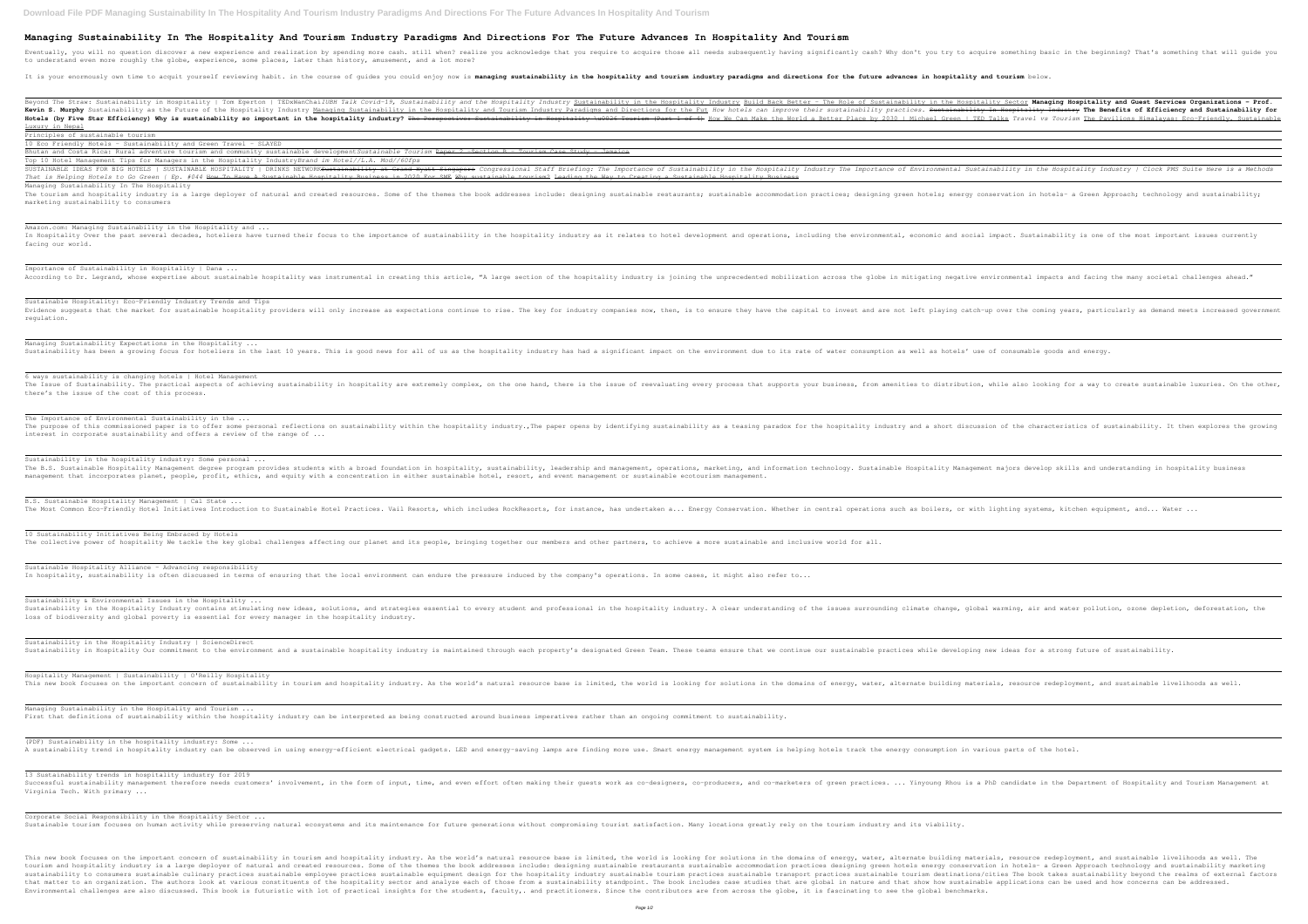## **Managing Sustainability In The Hospitality And Tourism Industry Paradigms And Directions For The Future Advances In Hospitality And Tourism**

Eventually, you will no question discover a new experience and realization by spending more cash. still when? realize you acknowledge that you try to acquire something basic in the beginning? That's something that will qui to understand even more roughly the globe, experience, some places, later than history, amusement, and a lot more?

It is your enormously own time to acquit yourself reviewing habit. in the course of guides you could enjoy now is managing sustainability in the hospitality and directions for the future advances in hospitality and tourism

Beyond The Straw: Sustainability in Hospitality | Tom Egerton | TEDxWanChai*IUBH Talk Covid–19, Sustainability and the Hospitality in the Hospitality in the Hospitality Industry <u>Sustainability in the Hospitality Industry* </u> Kevin S. Murphy Sustainability as the Future of the Hospitality Industry <u>Managing Sustainability in the Hospitality in the Hospitality and Tourism Industry Paradigms and Directions for the Fut How hotels can improve their</u> Hotels (by Five Star Efficiency) Why is sustainability so important in the hospitality industry? The Perspective: Sustainability in Hospitality in Hospitality industry? The Perspective: Sustainability in Hospitality in Hos Luxury in Nepal Principles of sustainable tourism

INGREEDING IN THE INTER SUSTAINABLE ING HOTELS | SUSTAINABLE HOSPITALITY | DRINKS NETWORK<del>Sustainability at Grand Hyatt Singapore</del> Congressional Staff Briefing: The Importance of Environmental Sustainability in the Hospita *That is Helping Hotels to Go Green | Ep. #044* How To Have A Sustainable Hospitality Business in 2020 For SME Why sustainable tourism? Leading the Way to Creating a Sustainable Hospitality Business Managing Sustainability In The Hospitality

The tourism and hospitality industry is a large deployer of natural and created resources. Some of the themes the book addresses include: designing green hotels; energy conservation in hotels- a Green Approach; technology marketing sustainability to consumers

Importance of Sustainability in Hospitality | Dana ... According to Dr. Legrand, whose expertise about sustainable hospitality was instrumental in creating this article, "A large section of the hospitality industry is joining the unprecedented mobilization across the globe in

10 Eco Friendly Hotels - Sustainability and Green Travel - SLAYED

Bhutan and Costa Rica: Rural adventure tourism and community sustainable developmentSustainable Tourism Paper 2 Section B - Tourism Case Study - Jamaica

Managing Sustainability Expectations in the Hospitality ... Sustainability has been a growing focus for hoteliers in the last 10 years. This is good news for all of us as the hospitality industry has had a significant impact on the environment due to its rate of water consumption a

Top 10 Hotel Management Tips for Managers in the Hospitality Industry*Brand im Hotel//L.A. Mod//60fps*

Sustainability in the hospitality industry: Some personal ... The B.S. Sustainable Hospitality Management degree program provides students with a broad foundation in hospitality, sustainability, leadership and management majors develop skills and understanding in hospitality business management that incorporates planet, people, profit, ethics, and equity with a concentration in either sustainable hotel, resort, and event management or sustainable ecotourism management.

B.S. Sustainable Hospitality Management | Cal State ... The Most Common Eco-Friendly Hotel Initiatives Introduction to Sustainable Hotel Practices. Vail Resorts, which includes RockResorts, for instance, has undertaken a... Energy Conservation. Whether in central operations suc

10 Sustainability Initiatives Being Embraced by Hotels The collective power of hospitality We tackle the key global challenges affecting our planet and its people, bringing together our members and other partners, to achieve a more sustainable and inclusive world for all.

Sustainable Hospitality Alliance – Advancing responsibility In hospitality, sustainability is often discussed in terms of ensuring that the local environment can endure the pressure induced by the company's operations. In some cases, it might also refer to...

Amazon.com: Managing Sustainability in the Hospitality and ... In Hospitality Over the past several decades, hoteliers have turned their focus to the importance of sustainability in the hospitality industry as it relates to hotel development and operations, including the environmental facing our world.

Sustainability in the Hospitality Industry | ScienceDirect Sustainability in Hospitality Our commitment to the environment and a sustainable hospitality industry is maintained through each property's designated Green Team. These teams ensure that we continue our sustainable practi

Hospitality Management | Sustainability | O'Reilly Hospitality This new book focuses on the important concern of sustainability in tourism and hospitality industry. As the world's natural resource base is limited, the world is looking for solutions in the domains of energy, water, alt

Managing Sustainability in the Hospitality and Tourism ... First that definitions of sustainability within the hospitality industry can be interpreted as being constructed around business imperatives rather than an ongoing commitment to sustainability.

Sustainable Hospitality: Eco-Friendly Industry Trends and Tips Evidence suggests that the market for sustainable hospitality providers will only increase as expectations continue to rise. The key for industry companies now, then, is to ensure they have the coming vears, particularly a regulation.

(PDF) Sustainability in the hospitality industry: Some ... A sustainability trend in hospitality industry can be observed in using energy-efficient electrical gadgets. LED and energy-saving lamps are finding more use. Smart energy management system is helping hotels track the ener

Corporate Social Responsibility in the Hospitality Sector ... Sustainable tourism focuses on human activity while preserving natural ecosystems and its maintenance for future generations without compromising tourist satisfaction. Many locations greatly rely on the tourism industry an

This new book focuses on the important concern of sustainability in tourism and hospitality industry. As the world's natural resource base is limited, the world is looking for solutions in the domains of energy, water, alt tourism and hospitality industry is a large deployer of natural and created resources. Some of the themes the book addresses include: designing sustainable restaurants sustainable accommodation practices designing sustaina sustainability to consumers sustainable culinary practices sustainable employee practices sustainable equipment design for the hospitality industry sustainable tourism destinations/cities The book takes sustainability beyo that matter to an organization. The authors look at various constituents of the hospitality sector and analyze each of those from a sustainability standpoint. The book includes case studies that are global in nature and th Environmental challenges are also discussed. This book is futuristic with lot of practical insights for the students, faculty,. and practitioners. Since the contributors are from across the globe, it is fascinating to see

6 ways sustainability is changing hotels | Hotel Management The Issue of Sustainability. The practical aspects of achieving sustainability in hospitality in hospitality are extremely complex, on the one hand, there is the issue of reevaluating every process that supports your busin there's the issue of the cost of this process.

The Importance of Environmental Sustainability in the ... The purpose of this commissioned paper is to offer some personal reflections on sustainability within the hospitality industry., The paper opens by identifying sustainability as a teasing paradox for the hospitality indust interest in corporate sustainability and offers a review of the range of ...

Sustainability & Environmental Issues in the Hospitality ... Sustainability in the Hospitality Industry contains stimulating new ideas, solutions, and strategies essential to every student and professional in the hospitality industry. A clear understanding climate change, global war loss of biodiversity and global poverty is essential for every manager in the hospitality industry.

13 Sustainability trends in hospitality industry for 2019 Successful sustainability management therefore needs customers' involvement, in the form of input, time, and even effort often making their guests work as co-designers, co-producers, and even effort often making their gues Virginia Tech. With primary ...